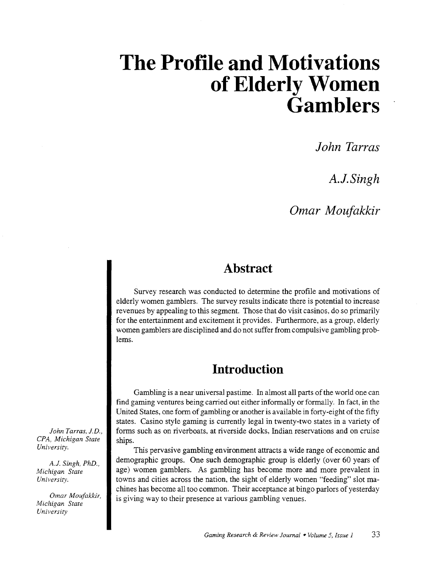# **The Profile and Motivations of Elderly Women**  $\ddot{\mathbf{G}}$ *amblers*

*John Tarras* 

*A.J.Singh* 

*Omar Moufakkir* 

## **Abstract**

Survey research was conducted to determine the profile and motivations of elderly women gamblers. The survey results indicate there is potential to increase revenues by appealing to this segment. Those that do visit casinos, do so primarily for the entertainment and excitement it provides. Furthermore, as a group, elderly women gamblers are disciplined and do not suffer from compulsive gambling problems.

# **Introduction**

Gambling is a near universal pastime. In almost all parts of the world one can find gaming ventures being carried out either informally or formally. In fact, in the United States, one form of gambling or another is available in forty-eight of the fifty states. Casino style gaming is currently legal in twenty-two states in a variety of forms such as on riverboats, at riverside docks, Indian reservations and on cruise ships.

This pervasive gambling environment attracts a wide range of economic and demographic groups. One such demographic group is elderly (over 60 years of age) women gamblers. As gambling has become more and more prevalent in towns and cities across the nation, the sight of elderly women "feeding" slot machines has become all too common. Their acceptance at bingo parlors of yesterday is giving way to their presence at various gambling venues.

*John Tarras, J.D., CPA, Michigan State University.* 

*A.J. Singh, PhD., Michigan State University.* 

*Omar Moufakkir, Michigan State University*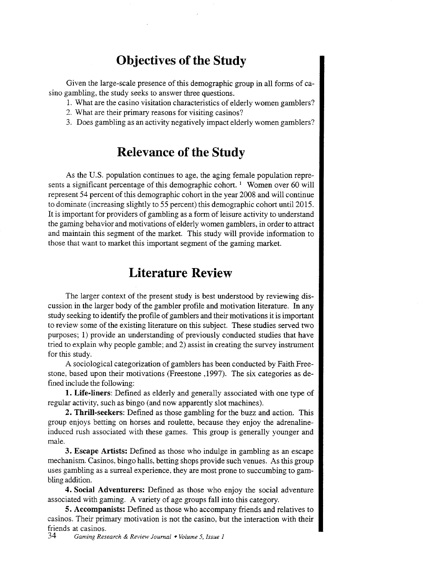# **Objectives of the Study**

Given the large-scale presence of this demographic group in all forms of casino gambling, the study seeks to answer three questions.

- 1. What are the casino visitation characteristics of elderly women gamblers?
- 2. What are their primary reasons for visiting casinos?
- 3. Does gambling as an activity negatively impact elderly women gamblers?

### **Relevance of the Study**

As the U.S. population continues to age, the aging female population represents a significant percentage of this demographic cohort.<sup>1</sup> Women over 60 will represent 54 percent of this demographic cohort in the year 2008 and will continue to dominate (increasing slightly to 55 percent) this demographic cohort until2015. It is important for providers of gambling as a form of leisure activity to understand the gaming behavior and motivations of elderly women gamblers, in order to attract and maintain this segment of the market. This study will provide information to those that want to market this important segment of the gaming market.

### **Literature Review**

The larger context of the present study is best understood by reviewing discussion in the larger body of the gambler profile and motivation literature. In any study seeking to identify the profile of gamblers and their motivations it is important to review some of the existing literature on this subject. These studies served two purposes; 1) provide an understanding of previously conducted studies that have tried to explain why people gamble; and 2) assist in creating the survey instrument for this study.

A sociological categorization of gamblers has been conducted by Faith Freestone, based upon their motivations (Freestone ,1997). The six categories as defined include the following:

**1. Life-liners:** Defined as elderly and generally associated with one type of regular activity, such as bingo (and now apparently slot machines).

**2. Thrill-seekers:** Defined as those gambling for the buzz and action. This group enjoys betting on horses and roulette, because they enjoy the adrenalineinduced rush associated with these games. This group is generally younger and male.

**3. Escape Artists:** Defined as those who indulge in gambling as an escape mechanism. Casinos, bingo halls, betting shops provide such venues. As this group uses gambling as a surreal experience, they are most prone to succumbing to gambling addition.

**4. Social Adventurers:** Defined as those who enjoy the social adventure associated with gaming. A variety of age groups fall into this category.

**5. Accompanists:** Defined as those who accompany friends and relatives to casinos. Their primary motivation is not the casino, but the interaction with their friends at casinos.

34 *Gaming Research* & *Review Journal* • *Volume 5, Issue 1*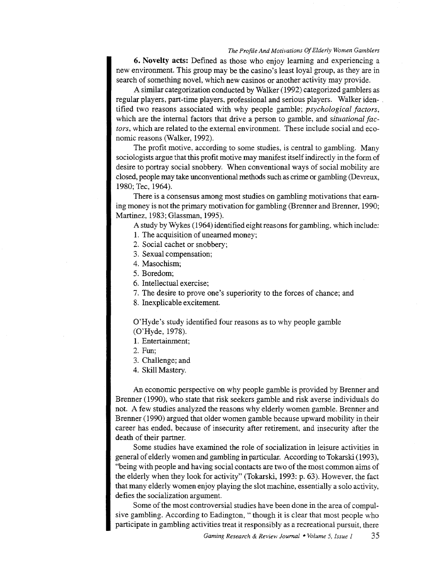**6. Novelty acts:** Defined as those who enjoy learning and experiencing a new environment. This group may be the casino's least loyal group, as they are in search of something novel, which new casinos or another activity may provide.

A similar categorization conducted by Walker (1992) categorized gamblers as regular players, part-time players, professional and serious players. Walker iden- . tified two reasons associated with why people gamble; *psychological factors,*  which are the internal factors that drive a person to gamble, and *situational factors,* which are related to the external environment. These include social and economic reasons (Walker, 1992).

The profit motive, according to some studies, is central to gambling. Many sociologists argue that this profit motive may manifest itself indirectly in the form of desire to portray social snobbery. When conventional ways of social mobility are closed, people may take unconventional methods such as crime or gambling (Devreux, 1980; Tee, 1964).

There is a consensus among most studies on gambling motivations that earning money is not the primary motivation for gambling (Brenner and Brenner, 1990; Martinez, 1983; Glassman, 1995).

A study by Wykes ( 1964) identified eight reasons for gambling, which include:

- 1. The acquisition of unearned money;
- 2. Social cachet or snobbery;
- 3. Sexual compensation;
- 4. Masochism;
- 5. Boredom;

6. Intellectual exercise;

- 7. The desire to prove one's superiority to the forces of chance; and
- 8. Inexplicable excitement.

O'Hyde's study identified four reasons as to why people gamble (O'Hyde, 1978).

- **1.** Entertainment;
- 2. Fun;
- 3. Challenge; and
- 4. Skill Mastery.

An economic perspective on why people gamble is provided by Brenner and Brenner (1990), who state that risk seekers gamble and risk averse individuals do not. A few studies analyzed the reasons why elderly women gamble. Brenner and Brenner (1990) argued that older women gamble because upward mobility in their career has ended, because of insecurity after retirement, and insecurity after the death of their partner.

Some studies have examined the role of socialization in leisure activities in general of elderly women and gambling in particular. According to Tokarski (1993), "being with people and having social contacts are two of the most common aims of the elderly when they look for activity" (Tokarski, 1993: p. 63). However, the fact that many elderly women enjoy playing the slot machine, essentially a solo activity, defies the socialization argument.

Some of the most controversial studies have been done in the area of compulsive gambling. According to Eadington, " though it is clear that most people who participate in gambling activities treat it responsibly as a recreational pursuit, there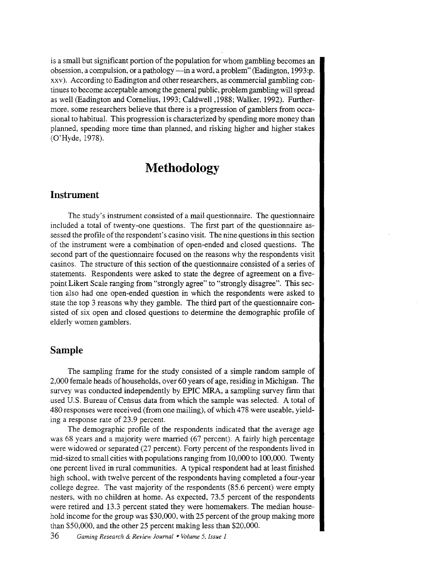is a small but significant portion of the population for whom gambling becomes an obsession, a compulsion, or a pathology —in a word, a problem" (Eadington, 1993:p. xxv ). According to Eadington and other researchers, as commercial gambling continues to become acceptable among the general public, problem gambling will spread as well (Eadington and Cornelius, 1993; Caldwell ,1988; Walker, 1992). Furthermore, some researchers believe that there is a progression of gamblers from occasional to habitual. This progression is characterized by spending more money than planned, spending more time than planned, and risking higher and higher stakes (O'Hyde, 1978).

### **Methodology**

#### **Instrument**

The study's instrument consisted of a mail questionnaire. The questionnaire included a total of twenty-one questions. The first part of the questionnaire assessed the profile of the respondent's casino visit. The nine questions in this section of the instrument were a combination of open-ended and closed questions. The second part of the questionnaire focused on the reasons why the respondents visit casinos. The structure of this section of the questionnaire consisted of a series of statements. Respondents were asked to state the degree of agreement on a fivepoint Likert Scale ranging from "strongly agree" to "strongly disagree". This section also had one open-ended question in which the respondents were asked to state the top 3 reasons why they gamble. The third part of the questionnaire consisted of six open and closed questions to determine the demographic profile of elderly women gamblers.

#### **Sample**

The sampling frame for the study consisted of a simple random sample of 2,000 female heads of households, over 60 years of age, residing in Michigan. The survey was conducted independently by EPIC MRA, a sampling survey firm that used U.S. Bureau of Census data from which the sample was selected. A total of 480 responses were received (from one mailing), of which 478 were useable, yielding a response rate of 23.9 percent.

The demographic profile of the respondents indicated that the average age was 68 years and a majority were married (67 percent). A fairly high percentage were widowed or separated (27 percent). Forty percent of the respondents lived in mid-sized to small cities with populations ranging from 10,000 to 100,000. Twenty one percent lived in rural communities. A typical respondent had at least finished high school, with twelve percent of the respondents having completed a four-year college degree. The vast majority of the respondents (85.6 percent) were empty nesters, with no children at home. As expected, 73.5 percent of the respondents were retired and 13.3 percent stated they were homemakers. The median household income for the group was \$30,000, with 25 percent of the group making more than \$50,000, and the other 25 percent making less than \$20,000.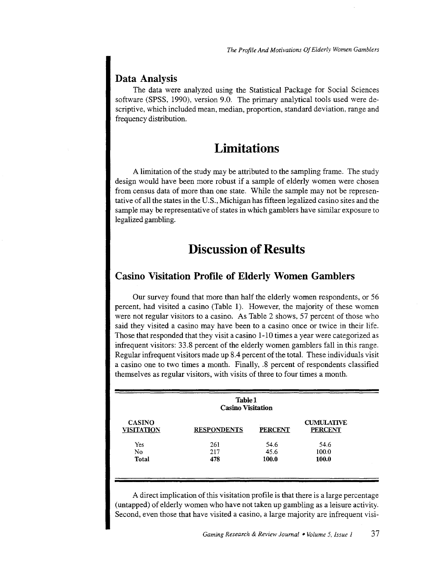### **Data Analysis**

The data were analyzed using the Statistical Package for Social Sciences software (SPSS, 1990), version 9.0. The primary analytical tools used were descriptive, which included mean, median, proportion, standard deviation, range and frequency distribution.

## **Limitations**

A limitation of the study may be attributed to the sampling frame. The study design would have been more robust if a sample of elderly women were chosen from census data of more than one state. While the sample may not be representative of all the states in the U.S., Michigan has fifteen legalized casino sites and the sample may be representative of states in which gamblers have similar exposure to legalized gambling.

## **Discussion of Results**

### **Casino Visitation Profile of Elderly Women Gamblers**

Our survey found that more than half the elderly women respondents, or 56 percent, had visited a casino (Table 1). However, the majority of these women were not regular visitors to a casino. As Table 2 shows, 57 percent of those who said they visited a casino may have been to a casino once or twice in their life. Those that responded that they visit a casino 1-10 times a year were categorized as infrequent visitors: 33.8 percent of the elderly women gamblers fall in this range. Regular infrequent visitors made up 8.4 percent of the total. These individuals visit a casino one to two times a month. Finally, .8 percent of respondents classified themselves as regular visitors, with visits of three to four times a month.

| <b>Table 1</b><br><b>Casino Visitation</b> |                    |                |                                     |  |
|--------------------------------------------|--------------------|----------------|-------------------------------------|--|
| <b>CASINO</b><br><b>VISITATION</b>         | <b>RESPONDENTS</b> | <b>PERCENT</b> | <b>CUMULATIVE</b><br><b>PERCENT</b> |  |
| Yes                                        | 261                | 54.6           | 54.6                                |  |
| No                                         | 217                | 45.6           | 100.0                               |  |
| Total                                      | 478                | 100.0          | 100.0                               |  |

A direct implication of this visitation profile is that there is a large percentage (untapped) of elderly women who have not taken up gambling as a leisure activity. Second, even those that have visited a casino, a large majority are infrequent visi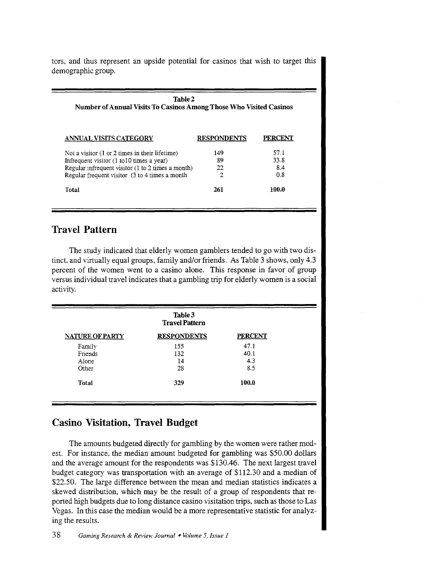tors, and thus represent an upside potential for casinos that wish to target this demographic group.

| <b>Table 2</b><br>Number of Annual Visits To Casinos Among Those Who Visited Casinos |                    |                |  |  |
|--------------------------------------------------------------------------------------|--------------------|----------------|--|--|
| ANNUAL VISITS CATEGORY                                                               | <b>RESPONDENTS</b> | <b>PERCENT</b> |  |  |
| Not a visitor $(1 \text{ or } 2 \text{ times in their lifetime})$                    | 149                | 57.1           |  |  |
| Infrequent visitor (1 to 10 times a year)                                            | 89                 | 33.8           |  |  |
| Regular infrequent visitor (1 to 2 times a month)                                    | 22                 | 8.4            |  |  |
| Regular frequent visitor (3 to 4 times a month                                       | 2                  | 0.8            |  |  |
| Total                                                                                | 261                | 100.0          |  |  |

### **Travel Pattern**

The study indicated that elderly women gamblers tended to go with two distinct, and virtually equal groups, family and/or friends. As Table 3 shows, only 4.3 percent of the women went to a casino alone. This response in favor of group versus individual travel indicates that a gambling trip for elderly women is a social activity.

| Table 3<br><b>Travel Pattern</b> |                    |                |  |  |
|----------------------------------|--------------------|----------------|--|--|
| <b>NATURE OF PARTY</b>           | <b>RESPONDENTS</b> | <b>PERCENT</b> |  |  |
| Family                           | 155                | 47.1           |  |  |
| Friends                          | 132                | 40.1           |  |  |
| Alone                            | 14                 | 4.3            |  |  |
| Other                            | 28                 | 8.5            |  |  |
| Total                            | 329                | 100.0          |  |  |

### **Casino Visitation, Travel Budget**

The amounts budgeted directly for gambling by the women were rather modest. For instance, the median amount budgeted for gambling was \$50.00 dollars and the average amount for the respondents was \$130.46. The next largest travel budget category was transportation with an average of \$112.30 and a median of \$22.50. The large difference between the mean and median statistics indicates a skewed distribution, which may be the result of a group of respondents that reported high budgets due to long distance casino visitation trips, such as those to Las Vegas. In this case the median would be a more representative statistic for analyzing the results.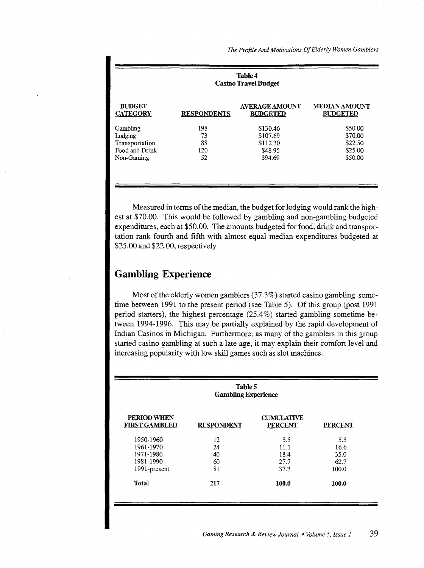| <b>Table 4</b><br><b>Casino Travel Budget</b> |                    |                                          |                                         |  |  |
|-----------------------------------------------|--------------------|------------------------------------------|-----------------------------------------|--|--|
| <b>BUDGET</b><br><b>CATEGORY</b>              | <b>RESPONDENTS</b> | <b>AVERAGE AMOUNT</b><br><b>BUDGETED</b> | <b>MEDIAN AMOUNT</b><br><b>BUDGETED</b> |  |  |
| Gambling                                      | 198                | \$130.46                                 | \$50.00                                 |  |  |
| Lodging                                       | 73                 | \$107.69                                 | \$70.00                                 |  |  |
| Transportation                                | 88                 | \$112.30                                 | \$22.50                                 |  |  |
| Food and Drink                                | 120                | \$48.95                                  | \$25.00                                 |  |  |
| Non-Gaming                                    | 52                 | \$94.69                                  | \$50.00                                 |  |  |

Measured in terms of the median, the budget for lodging would rank the highest at \$70.00. This would be followed by gambling and non-gambling budgeted expenditures, each at \$50.00. The amounts budgeted for food, drink and transportation rank fourth and fifth with almost equal median expenditures budgeted at \$25.00 and \$22.00, respectively.

### **Gambling Experience**

Most of the elderly women gamblers (37.3%) started casino gambling sometime between 1991 to the present period (see Table 5). Of this group (post 1991 period starters), the highest percentage (25.4%) started gambling sometime between 1994-1996. This may be partially explained by the rapid development of Indian Casinos in Michigan. Furthermore, as many of the gamblers in this group started casino gambling at such a late age, it may explain their comfort level and increasing popularity with low skill games such as slot machines.

| Table 5<br><b>Gambling Experience</b> |                   |                                     |                |  |
|---------------------------------------|-------------------|-------------------------------------|----------------|--|
| PERIOD WHEN<br><b>FIRST GAMBLED</b>   | <b>RESPONDENT</b> | <b>CUMULATIVE</b><br><b>PERCENT</b> | <b>PERCENT</b> |  |
| 1950-1960                             | 12                | 5.5                                 | 5.5            |  |
| 1961-1970                             | 24                | 11.1                                | 16.6           |  |
| 1971-1980                             | 40                | 18.4                                | 35.0           |  |
| 1981-1990                             | 60                | 27.7                                | 62.7           |  |
| 1991-present                          | 81                | 37.3                                | 100.0          |  |
| Total                                 | 217               | 100.0                               | 100.0          |  |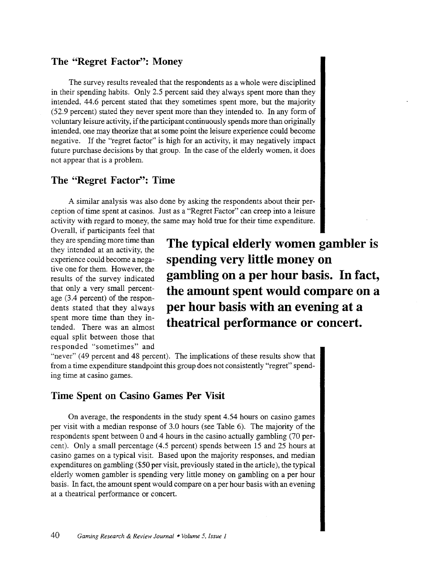#### **The "Regret Factor'': Money**

The survey results revealed that the respondents as a whole were disciplined in their spending habits. Only 2.5 percent said they always spent more than they intended, 44.6 percent stated that they sometimes spent more, but the majority (52.9 percent) stated they never spent more than they intended to. In any form of voluntary leisure activity, if the participant continuously spends more than originally intended, one may theorize that at some point the leisure experience could become negative. If the "regret factor" is high for an activity, it may negatively impact future purchase decisions by that group. In the case of the elderly women, it does not appear that is a problem.

#### **The "Regret Factor'': Time**

A similar analysis was also done by asking the respondents about their perception of time spent at casinos. Just as a "Regret Factor" can creep into a leisure activity with regard to money, the same may hold true for their time expenditure.

Overall, if participants feel that they are spending more time than they intended at an activity, the experience could become a negative one for them. However, the results of the survey indicated that only a very small percentage (3.4 percent) of the respondents stated that they always spent more time than they intended. There was an almost equal split between those that responded "sometimes" and

**The typical elderly women gambler is spending very little money on gambling on a per hour basis. In fact, the amount spent would compare on a per hour basis with an evening at a theatrical performance or concert.** 

"never" (49 percent and 48 percent). The implications of these results show that from a time expenditure standpoint this group does not consistently "regret" spending time at casino games.

#### **Time Spent on Casino Games Per Visit**

On average, the respondents in the study spent 4.54 hours on casino games per visit with a median response of 3.0 hours (see Table 6). The majority of the respondents spent between 0 and 4 hours in the casino actually gambling (70 percent). Only a small percentage (4.5 percent) spends between 15 and 25 hours at casino games on a typical visit. Based upon the majority responses, and median expenditures on gambling (\$50 per visit, previously stated in the article), the typical elderly women gambler is spending very little money on gambling on a per hour basis. In fact, the amount spent would compare on a per hour basis with an evening at a theatrical performance or concert.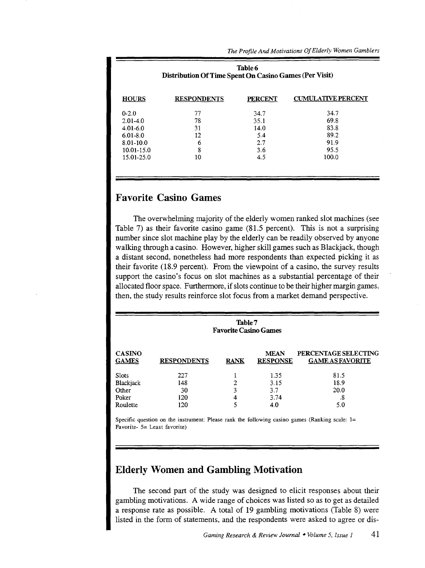| Table 6<br>Distribution Of Time Spent On Casino Games (Per Visit) |                    |                |                           |  |  |
|-------------------------------------------------------------------|--------------------|----------------|---------------------------|--|--|
| <b>HOURS</b>                                                      | <b>RESPONDENTS</b> | <b>PERCENT</b> | <b>CUMULATIVE PERCENT</b> |  |  |
| $0-2.0$                                                           | 77                 | 34.7           | 34.7                      |  |  |
| $2.01 - 4.0$                                                      | 78                 | 35.1           | 69.8                      |  |  |
| $4.01 - 6.0$                                                      | 31                 | 14.0           | 83.8                      |  |  |
| $6.01 - 8.0$                                                      | 12                 | 5.4            | 89.2                      |  |  |
| $8.01 - 10.0$                                                     | 6                  | 2.7            | 91.9                      |  |  |
| 10.01-15.0                                                        | 8                  | 3.6            | 95.5                      |  |  |
| 15.01-25.0                                                        | 10                 | 4.5            | 100.0                     |  |  |

### **Favorite Casino Games**

The overwhelming majority of the elderly women ranked slot machines (see Table 7) as their favorite casino game (81.5 percent). This is not a surprising number since slot machine play by the elderly can be readily observed by anyone walking through a casino. However, higher skill games such as Blackjack, though a distant second, nonetheless had more respondents than expected picking it as their favorite (18.9 percent). From the viewpoint of a casino, the survey results support the casino's focus on slot machines as a substantial percentage of their allocated floor space. Furthermore, if slots continue to be their higher margin games, then, the study results reinforce slot focus from a market demand perspective.

| Table 7<br><b>Favorite Casino Games</b> |                    |             |                                |                                                 |  |  |
|-----------------------------------------|--------------------|-------------|--------------------------------|-------------------------------------------------|--|--|
| <b>CASINO</b><br><b>GAMES</b>           | <b>RESPONDENTS</b> | <b>RANK</b> | <b>MEAN</b><br><b>RESPONSE</b> | PERCENTAGE SELECTING<br><b>GAME AS FAVORITE</b> |  |  |
| Slots                                   | 227                |             | 1.35                           | 81.5                                            |  |  |
| Blackjack                               | 148                | 2           | 3.15                           | 18.9                                            |  |  |
| Other                                   | 30                 | 3           | 3.7                            | 20.0                                            |  |  |
| Poker                                   | 120                | 4           | 3.74                           | .8                                              |  |  |
| Roulette                                | 120                |             | 4.0                            | 5.0                                             |  |  |

Specific question on the instrument: Please rank the following casino games (Ranking scale:  $1=$ Favorite- 5= Least favorite)

### **Elderly Women and Gambling Motivation**

The second part of the study was designed to elicit responses about their gambling motivations. A wide range of choices was listed so as to get as detailed a response rate as possible. A total of 19 gambling motivations (Table 8) were listed in the form of statements, and the respondents were asked to agree or dis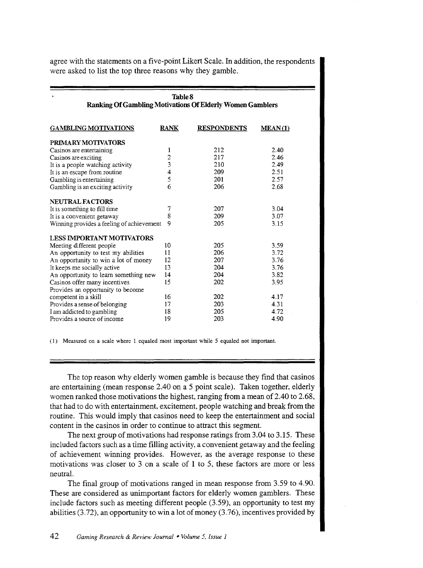agree with the statements on a five-point Likert Scale. In addition, the respondents were asked to list the top three reasons why they gamble.

| Table 8<br><b>Ranking Of Gambling Motivations Of Elderly Women Gamblers</b> |             |                    |         |  |
|-----------------------------------------------------------------------------|-------------|--------------------|---------|--|
| <b>GAMBLING MOTIVATIONS</b>                                                 | <b>RANK</b> | <b>RESPONDENTS</b> | MEAN(1) |  |
| PRIMARY MOTIVATORS                                                          |             |                    |         |  |
| Casinos are entertaining                                                    | 1           | 212                | 2.40    |  |
| Casinos are exciting                                                        | 2           | 217                | 2.46    |  |
| It is a people watching activity                                            | 3           | 210                | 2.49    |  |
| It is an escape from routine                                                | 4           | 209                | 2.51    |  |
| Gambling is entertaining                                                    | 5           | 201                | 2.57    |  |
| Gambling is an exciting activity                                            | 6           | 206                | 2.68    |  |
| <b>NEUTRAL FACTORS</b>                                                      |             |                    |         |  |
| It is something to fill time                                                | 7           | 207                | 3.04    |  |
| It is a convenient getaway                                                  | 8           | 209                | 3.07    |  |
| Winning provides a feeling of achievement                                   | 9           | 205                | 3.15    |  |
| <b>LESS IMPORTANT MOTIVATORS</b>                                            |             |                    |         |  |
| Meeting different people                                                    | 10          | 205                | 3.59    |  |
| An opportunity to test my abilities                                         | 11          | 206                | 3.72    |  |
| An opportunity to win a lot of money                                        | 12          | 207                | 3.76    |  |
| It keeps me socially active                                                 | 13          | 204                | 3.76    |  |
| An opportunity to learn something new                                       | 14          | 204                | 3.82    |  |
| Casinos offer many incentives                                               | 15          | 202                | 3.95    |  |
| Provides an opportunity to become                                           |             |                    |         |  |
| competent in a skill                                                        | 16          | 202                | 4.17    |  |
| Provides a sense of belonging                                               | 17          | 203                | 4.31    |  |
| I am addicted to gambling                                                   | 18          | 205                | 4.72    |  |
| Provides a source of income                                                 | 19          | 203                | 4.90    |  |

( 1) Measured on a scale where 1 equaled most important while 5 equaled not important.

The top reason why elderly women gamble is because they find that casinos are entertaining (mean response 2.40 on a 5 point scale). Taken together, elderly women ranked those motivations the highest, ranging from a mean of 2.40 to 2.68, that had to do with entertainment, excitement, people watching and break from the routine. This would imply that casinos need to keep the entertainment and social content in the casinos in order to continue to attract this segment.

The next group of motivations had response ratings from 3.04 to 3.15. These included factors such as a time filling activity, a convenient getaway and the feeling of achievement winning provides. However, as the average response to these motivations was closer to 3 on a scale of 1 to 5, these factors are more or less neutral.

The final group of motivations ranged in mean response from 3.59 to 4.90. These are considered as unimportant factors for elderly women gamblers. These include factors such as meeting different people (3.59), an opportunity to test my abilities (3.72), an opportunity to win a lot of money (3.76), incentives provided by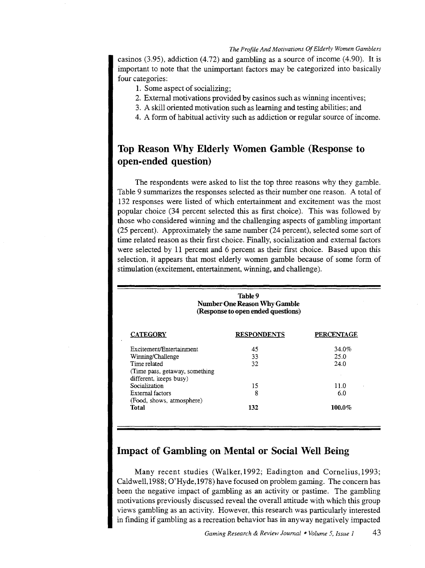casinos (3.95), addiction (4.72) and gambling as a source of income (4.90). It is important to note that the unimportant factors may be categorized into basically four categories:

- 1. Some aspect of socializing;
- 2. External motivations provided by casinos such as winning incentives;
- 3. A skill oriented motivation such as learning and testing abilities; and
- 4. A form of habitual activity such as addiction or regular source of income.

### **Top Reason Why Elderly Women Gamble (Response to open-ended question)**

The respondents were asked to list the top three reasons why they gamble. Table 9 summarizes the responses selected as their number one reason. A total of 132 responses were listed of which entertainment and excitement was the most popular choice (34 percent selected this as first choice). This was followed by those who considered winning and the challenging aspects of gambling important (25 percent). Approximately the same number (24 percent), selected some sort of time related reason as their first choice. Finally, socialization and external factors were selected by 11 percent and 6 percent as their first choice. Based upon this selection, it appears that most elderly women gamble because of some form of stimulation (excitement, entertainment, winning, and challenge).

| Table 9<br><b>Number One Reason Why Gamble</b><br>(Response to open ended questions) |                    |                   |  |
|--------------------------------------------------------------------------------------|--------------------|-------------------|--|
| <b>CATEGORY</b>                                                                      | <b>RESPONDENTS</b> | <b>PERCENTAGE</b> |  |
| Excitement/Entertainment                                                             | 45                 | 34.0%             |  |
| Winning/Challenge                                                                    | 33                 | 25.0              |  |
| Time related                                                                         | 32                 | 24.0              |  |
| (Time pass, getaway, something)<br>different, keeps busy)                            |                    |                   |  |
| Socialization                                                                        | 15                 | 11.0              |  |
| External factors                                                                     | 8                  | 6.0               |  |
| (Food, shows, atmosphere)                                                            |                    |                   |  |
| Total                                                                                | 132                | $100.0\%$         |  |

### **Impact of Gambling on Mental or Social Well Being**

Many recent studies (Walker, 1992; Eadington and Cornelius, 1993; Caldwell, 1988; O'Hyde,1978) have focused on problem gaming. The concern has been the negative impact of gambling as an activity or pastime. The gambling motivations previously discussed reveal the overall attitude with which this group views gambling as an activity. However, this research was particularly interested in finding if gambling as a recreation behavior has in anyway negatively impacted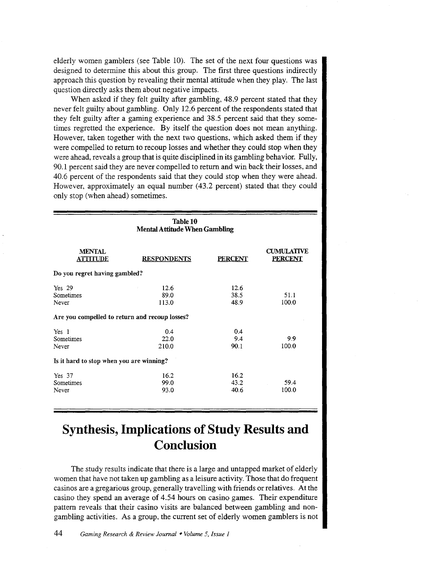elderly women gamblers (see Table 10). The set of the next four questions was designed to determine this about this group. The first three questions indirectly approach this question by revealing their mental attitude when they play. The last question directly asks them about negative impacts.

When asked if they felt guilty after gambling, 48.9 percent stated that they never felt guilty about gambling. Only 12.6 percent of the respondents stated that they felt guilty after a gaming experience and 38.5 percent said that they sometimes regretted the experience. By itself the question does not mean anything. However, taken together with the next two questions, which asked them if they were compelled to return to recoup losses and whether they could stop when they were ahead, reveals a group that is quite disciplined in its gambling behavior. Fully, 90.1 percent said they are never compelled to return and win back their losses, and 40.6 percent of the respondents said that they could stop when they were ahead. However, approximately an equal number (43.2 percent) stated that they could only stop (when ahead) sometimes.

| Table 10<br><b>Mental Attitude When Gambling</b> |                                                |                      |                                     |  |  |  |
|--------------------------------------------------|------------------------------------------------|----------------------|-------------------------------------|--|--|--|
| <b>MENTAL</b><br><b>ATTITUDE</b>                 | <b>RESPONDENTS</b>                             | <b>PERCENT</b>       | <b>CUMULATIVE</b><br><b>PERCENT</b> |  |  |  |
| Do you regret having gambled?                    |                                                |                      |                                     |  |  |  |
| Yes 29<br>Sometimes<br>Never                     | 12.6<br>89.0<br>113.0                          | 12.6<br>38.5<br>48.9 | 51.1<br>100.0                       |  |  |  |
|                                                  | Are you compelled to return and recoup losses? |                      |                                     |  |  |  |
| Yes <sub>1</sub><br>Sometimes<br>Never           | 0.4<br>22.0<br>210.0                           | 0.4<br>9.4<br>90.1   | 9.9<br>100.0                        |  |  |  |
| Is it hard to stop when you are winning?         |                                                |                      |                                     |  |  |  |
| Yes 37<br>Sometimes<br>Never                     | 16.2<br>99.0<br>93.0                           | 16.2<br>43.2<br>40.6 | 59.4<br>100.0                       |  |  |  |

# **Synthesis, Implications of Study Results and Conclusion**

The study results indicate that there is a large and untapped market of elderly women that have not taken up gambling as a leisure activity. Those that do frequent casinos are a gregarious group, generally travelling with friends or relatives. At the casino they spend an average of 4.54 hours on casino games. Their expenditure pattern reveals that their casino visits are balanced between gambling and nongambling activities. As a group, the current set of elderly women gamblers is not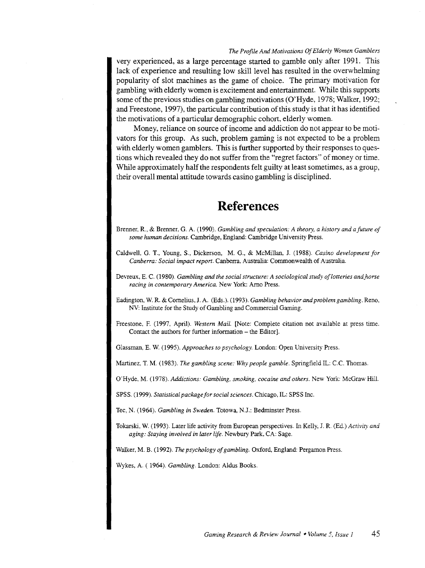very experienced, as a large percentage started to gamble only after 1991. This lack of experience and resulting low skill level has resulted in the overwhelming popularity of slot machines as the game of choice. The primary motivation for gambling with elderly women is excitement and entertainment. While this supports some of the previous studies on gambling motivations (O'Hyde, 1978; Walker, 1992; and Freestone, 1997), the particular contribution of this study is that it has identified the motivations of a particular demographic cohort, elderly women.

Money, reliance on source of income and addiction do not appear to be motivators for this group. As such, problem gaming is not expected to be a problem with elderly women gamblers. This is further supported by their responses to questions which revealed they do not suffer from the "regret factors" of money or time. While approximately half the respondents felt guilty at least sometimes, as a group, their overall mental attitude towards casino gambling is disciplined.

### **References**

- Brenner, R., & Brenner, G. A. (1990). *Gambling and speculation: A theory, a history and a future of some human decisions.* Cambridge, England: Cambridge University Press.
- Caldwell, G. T., Young, S., Dickerson, M. G., & McMillan, J. (1988). *Casino development for Canberra: Social impact report.* Canberra, Australia: Commonwealth of Australia.
- Devreux, E. C. (1980). *Gambling and the social structure: A sociological study of lotteries and\_horse racing in contemporary America.* New York: Arno Press.
- Eadington, W. R. & Cornelius, J. A. (Eds.). (1993). *Gambling behavior and problem gambling*. Reno, NV: Institute for the Study of Gambling and Commercial Gaming.
- Freestone, F. (1997, April). *Western Mail.* [Note: Complete citation not available at press time. Contact the authors for further information- the Editor].

Glassman, E. W. (1995). *Approaches to psychology.* London: Open University Press.

Martinez, T. M. (1983). *The gambling scene: Why people gamble*. Springfield IL: C.C. Thomas.

O'Hyde, M. (1978). *Addictions: Gambling, smoking, cocaine and others.* New York: McGraw Hill.

SPSS. (1999). *Statistical package for social sciences.* Chicago, IL: SPSS Inc.

Tee, N. (1964). *Gambling in Sweden.* Totowa, N.J.: Bedminster Press.

Tokarski, W. (1993). Later life activity from European perspectives. In Kelly, J. R. (Ed.) *Activity and aging: Staying involved in later life.* Newbury Park, CA: Sage.

Walker, M. B. (1992). *The psychology of gambling.* Oxford, England: Pergamon Press.

Wykes, A. ( 1964). *Gambling.* London: Aldus Books.